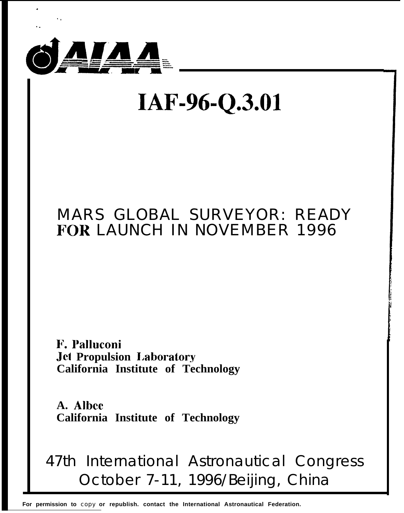

# IAF-96-Q.3.01

### **MARS GLOBAL SURVEYOR: READY FOR LAUNCH IN NOVEMBER 1996**

F. Palluconi **Jet Propulsion Laboratory** California Institute of Technology

A. Albee California Institute of Technology

## 47th International Astronautical Congress October 7-11, 1996/Beijing, China

For permission to copy or republish. contact the International Astronautical Federation.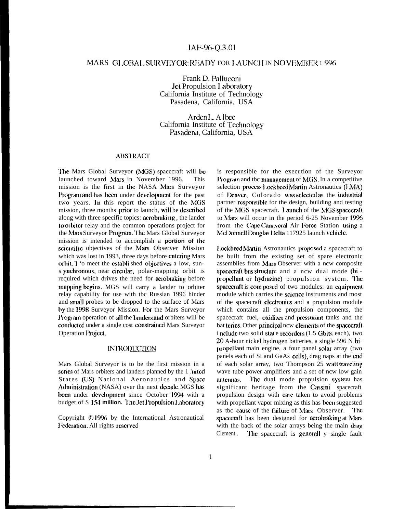#### IAF-96-Q.3.01

#### MARS GLOBAL SURVEYOR: READY FOR LAUNCH IN NO VEMBER 1 996

Frank D. Palluconi Jet Propulsion Laboratory California Institute of Technology Pasadena, California, USA

Ardcn L. A lbcc California Institute of Technology Pasadena, California, USA

#### **ABSTRACT**

The Mars Global Surveyor (MGS) spacecraft will be launched toward Mars in November 1996. This mission is the first in the NASA Mars Surveyor l'rogram and has becm under dcvclopmcnt for the past two years. In this report the status of the MGS mission, three months prior to launch, will be described along with three specific topics: acrobraki ng , the lander to orbiter relay and the common operations project for the Mars Surveyor Program. The Mars Global Surveyor mission is intended to accomplish a **portion of tic** scientific objectives of the Mars Observer Mission which was lost in 1993, three days before entering Mars orbit. I 'o meet the establi shed objectives a low, suns ynchronous, near circular, polar-mapping orbit is required which drives the need for acrobraking before mapping begins. MGS will carry a lander to orbiter relay capability for use with tbc Russian 1996 hinder and smmll probes to be dropped to the surface of Mars by the 1998 Surveyor Mission. For the Mars Surveyor Program operation of all the landers and orbiters will be conducted under a single cost constrained Mars Surveyor Operation Projccl.

#### **INIRODUCTION**

Mars Global Surveyor is to be the first mission in a scries of Mars orbiters and landers planned by the 1 Jnited States (US) National Aeronautics and Space Administration (NASA) over the next decade. MGS has been under development since October 1994 with a budget of \$154 million. The *Jet Propulsion Laboratory* 

Copyright ©1996 by the International Astronautical Federation. All rights reserved

is responsible for the execution of the Surveyor Program and tbc management of MGS. In a competitive selection process I ockhecd Martin Astronautics (LMA) of Denver, Colorado was selected as the industrial partner responsible for the design, building and testing of the MGS spacecraft. Launch of the MGS spacecraft to Mars will occur in the period 6-25 November 1996 from the Cape Canaveral Air Force Station using a McI Yonnell I Youglas I Yelta 117925 launch vehicle.

Lockheed Martin Astronautics proposed a spacecraft to be built from the existing set of spare electronic assemblies from Mars Observer with a ncw composite spacecraft bus structure and a new dual mode (bi propellant or hydrazine) propulsion system. The spacecraft is composed of two modules: an equipment module which carries the scicncc instruments and most of the spacecraft electronics and a propulsion module which contains all the propulsion components, the spacecraft fuel, oxidizer and pressurant tanks and the bat teries. Other principal ncw elements of the spacecraft i nclude two solid stat e recorders (1.5 Gbits each), two 20 A-hour nickel hydrogen batteries, a single 596 N bipl opcllant main engine, a four panel solar array (two panels each of Si and GaAs cells), drag naps at the end of each solar array, two Thompson 25 watt traveling wave tube power amplifiers and a set of ncw low gain antennas. The dual mode propulsion system has significant heritage from the Cassini spacecraft propulsion design with care taken to avoid problems with propellant vapor mixing as this has been suggested as tbc cause of the failure of Mars Observer. The spacecraft has been designed for acrobraking at Mars. with the back of the solar arrays being the main drag Clement. The spacecraft is generall  $y$  single fault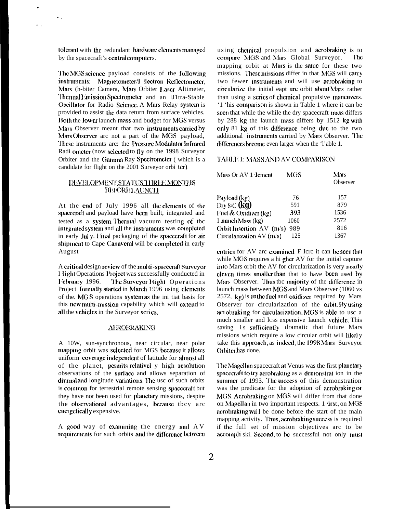tolerant with the redundant hardware elements managed by the spacecraft's central computers.

 $\sim$   $\sim$ 

The MGS science payload consists of the following instruments: Magnetometer/Hilectron Reflectometer, Mars (h-biter Camera, Mars Orbiter Laser Altimeter, Thermal Emission Spectrometer and an IJ1tra-Stable Oscillator for Radio Science. A Mars Relay system is provided to assist the data return from surface vehicles. Both the lower launch mass and budget for MGS versus Mars Observer meant that two instruments carried by Mars Observer arc not a part of the MGS payload, These instruments arc: the Pressure Modulator Infrared Radi ometer (now selected to fly on the 1998 Surveyor Orbiter and the Gamma Ray Spectrometer (which is a candidate for flight on the 2001 Surveyor orbi ter).

#### DEVELOPMENT STATUS THREE MONTLIS **BEFORELAUNCH**

At the end of July 1996 all the elements of the spacecraft and payload have been built, integrated and tested as a system. Thermal vacuum testing of tbc integrated system and all the instruments was completed in early July. Final packaging of the spacecraft for air shipment to Cape Canaveral will be completed in early August

A critical design review of the multi-spacecraft Surveyor I light Operations Project was successfully conducted in February 1996. The Surveyor Hight Operations Project formally started in March 1996 using clements of the. MGS operations system as the ini tiat basis for this new multi-mission capability which will extend to all the vehicles in the Surveyor series.

#### **AEROBRAKING**

A 10W, sun-synchronous, near circular, near polar mapping orbit was selected for MGS because it allows uniform coverage independent of latitude for almost all of the planet, permits relativel y high resolution observations of the surface and allows separation of diurnal and longitude variations. The use of such orbits is common for terrestrial remote sensing spacecraft but they have not been used for planetary missions, despite the observational advantages, because tbcy arc energetically expensive.

A good way of examining the energy and AV requirements for such orbits and the difference between

using chemical propulsion and acrobraking is to compare MGS and Mars Global Surveyor. The mapping orbit at Mars is the same for these two missions. These missions differ in that MGS will carry two fewer instruments and will use aerobraking to circularize the initial eapt ure orbit about Mars rather than using a series of chemical propulsive maneuvers. '1 'his comparison is shown in Table 1 where it can be seen that while the while the dry spacecraft mass differs by 288 kg the launch mass differs by 1512 kg with only 81 kg of this difference being due to the two additional instruments carried by Mars Observer. The differences become even larger when the 'l'able 1.

#### TABLE 1: MASS AND AV COMPARISON

| Mass Or AV 1 ilement             | MGS  | Mars<br>Observer |
|----------------------------------|------|------------------|
|                                  |      |                  |
| Payload (kg)                     | 76   | 157              |
| Dry S/C (kg)                     | 591  | 879              |
| Fuel & Oxidizer $(kg)$           | 393  | 1536             |
| I aunch Mass (kg)                | 1060 | 2572             |
| Orbit Insertion $AV(m/s)$<br>989 |      | 816              |
| Circularization $AV(m/s)$        | 125  | 1367             |

entries for AV are examined. F Icre it can be seen that while MGS requires a hi gher AV for the initial capture into Mars orbit the AV for circularization is very nearly cleven times smaller than that to have been used by Mars Observer. Thus tbc majority of the difference in launch mass between MGS and Mars Observer (1060 vs 2572,  $kg$ ) is in the fuel and oxidizer required by Mars Observer for circularization of the orbit. By using act obraking for circularization, MGS is able to use a much smaller and lcss expensive launch vehicle. This saving is sufficiently dramatic that future Mars missions which require a low circular orbit will likely take this approach, as indeed, the 1998 Mars Surveyor Orbiter has done.

The Magellan spacecraft at Venus was the first planetary spacecraft to try acrobraking as a demonstrat ion in the summer of 1993. The success of this demonstration was the predicate for the adoption of acrobraking on MGS. Acrobraking on MGS will differ from that done on Magellan in two important respects. 1 'irst, on MGS acrobraking will be done before the start of the main mapping activity. Thus, acrobraking success is required if the full set of mission objectives arc to be accompli ski. Second, to be successful not only must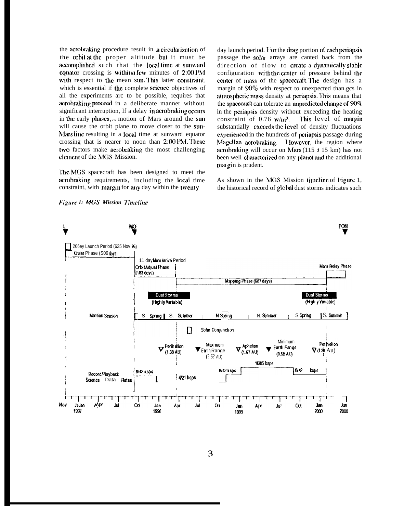the acrobraking procedure result in a circularization of the orbit at the proper altitude but it must be accomplished such that the local time at sunward equator crossing is withina few minutes of 2:00 PM with respect to the mean sum This latter constraint, which is essential if the complete science objectives of all the experiments arc to be possible, requires that acrobraking proceed in a deliberate manner without significant interruption, If a delay in acrobraking occurs in the early phases, the motion of Mars around the sun will cause the orbit plane to move closer to the sun-Mars line resulting in a local time at sunward equator crossing that is nearer to noon than  $2:00$  PM. These two factors make acrobraking the most challenging clement of the MGS Mission.

The MGS spacecraft has been designed to meet the acrobraking requirements, including the local time constraint, with margin for any day within the twenty

day launch period. I or the drag portion of each periapsis passage the solar arrays are canted back from the direction of flow to create a dynamically stable configuration with the center of pressure behind the center of mass of the spacecraft. The design has a margin of 90% with respect to unexpected than.gcs in atmospheric mass density at periapsis. This means that the spacecraft can tolerate an unpredicted change of  $90\%$ in the pcriapsis density without exceeding the heating constraint of  $0.76 \text{ w/m}^2$ . This level of margin substantially cxceeds the level of density fluctuations cxjwienccd in the hundreds of pcriapsis passage during Magellan acrobraking. I lowever, the region where aerobraking will occur on Mars (115  $\pm$  15 km) has not been well characterized on any planet and the additional mal gi n is prudent.

As shown in the MGS Mission timeline of Figure 1, the historical record of global dust storms indicates such

*Figure 1: MGS Mission Timeline* 

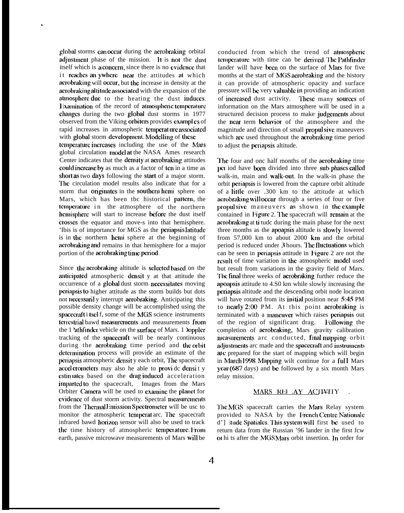global storms can occur during the acrobraking orbital adjustment phase of the mission. It is not the dust itself which is a concern, since there is no evidence that it reaches an ywhere near the attitudes at which acrobraking will oczur, but the increase in density at the acrobraking altitude associated with the expansion of the atmosphere due to the heating the dust induces. Examination of the record of atmospheric temperature changes during the two global dust storms in 1977 observed from the Viking orbiters provides examples of rapid increases in atmospheric temperature associated with global storm development. Modelling of these

.

temperature increases including the use of the Mars global circulation model at the NASA Ames research Center indicates that the **density** at **acrobraking** attitudes could increase by as much as a factor of ten in a time as short as two days following the start of a major storm. The circulation model results also indicate that for a storm that originates in the southern hemi sphere on Mars, which has been tbc historical pattern, the temperature in the atmosphere of the northern hcmisphere will start to increase before the dust itself crosses the equator and move-s into that hemisphere. 'Ibis is of importance for MGS as the periapsis latitude is in the northern hemi sphere at the beginning of acrobraking and remains in that hemisphere for a major portion of the acrobraking time period.

Since the acrobraking altitude is selected based on the anticipated atmospheric densit y at that attitude the occurrence of a globat dust storm nccessi tatcs moving pcriapsis [o higher attitude as the storm builds but dots not neccssaril y interrupt aerobraking. Anticipating this possible density change will be accomplished using the spacecraft i tscl f, some of the MGS science instruments tcrrestrial bawd measurements and measurements from the 1 'athfinder vehicle on the surface of Mars. 1 loppler tracking of the spacecraft will be nearly continuous during the acrobraking time period and the orbit dctermination process will provide an estimate of the periapsis atmospheric densit y each orbit, The spacecraft accel erometers may also he able to provide density estin iates based on the drag induced acceleration imparted to the spacecraft, Images from the Mars Orbiter Camera will be used to examine the planet for cvidence of dust storm activity. Spectral measurements from the Thermal Ite is significant Spectrometer will be usc to monitor the atmospheric temperat arc. The spacecraft infrared bawd horizon sensor will also be used to track the time history of atmospheric temperature. From earth, passive microwave measurements of Mars will be

conducted from which the trend of atmospheric temperature with time can be derived. The Pathfinder lander will have been on the surface of Mars for five months at the start of MGS acrobraking and the history it can provide of atmospheric opacity and surface pressure will be very valuable in providing an indication of increased dust activity. These many sources of information on the Mars atmosphere will be used in a structured decision process to make judgements about the near term behavior of the atmosphere and the magnitude and direction of small propulsive maneuvers which are used throughout the acrobraking time period to adjust the periapsis altitude.

The four and onc half months of the acrobraking time pc1 iod have been divided into three sub-phases called walk-in, main and walk-out. In the walk-in phase the orbit periapsis is lowered from the capture orbit altitude of a little over .300 km to the attitude at which acrobraking will occur through a series of four or five propulsive maneuvers as shown in the example contained in Figure 2. The spacecraft will remain at the acrobraking at ti tudc during the main phase for the next three months as the apoapsis altitude is slowly lowered from 57,000 km to about 2000 km and the orbital period is reduced under 3 hours. The fluctuations which can be seen in periapsis attitude in Figure 2 are not the result of time variation in the atmospheric model used but result from variations in the gravity field of Mars. The final three weeks of aerobraking further reduce the apoapsis attitude to 4.S0 km while slowly increasing the pcriapsis altitude and the descending orbit node location will have rotated from its initial position near 5:45 PM to ncady 2:00 PM. At this point aerobraking is terminated with a maneuver which raises periapsis out of the region of significant drag. I collowing the completion of aerobraking, Mars gravity calibration measurements arc conducted, final mapping orbit adjustments arc made and the spacecraft and instruments are prepared for the start of mapping which will begin in March 1998. Mapping wilt continue for a full Mars year ( $687$  days) and be followed by a six month Mars relay mission.

#### MARS REL AY ACTIVITY

The MGS spacecraft carries the Mars Relay system provided to NASA by the Irench Centre Nationale d'] itude Spatiales. This system will first be used to return data from the Russian '96 lander in the first fcw ot hi ts after the MGSMars orbit insertion. In order for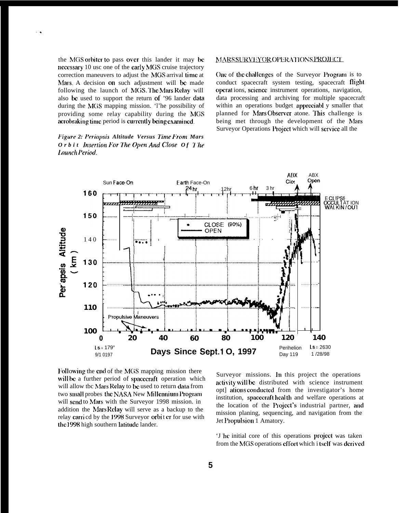the MGS orbiter to pass over this lander it may be necessary 10 usc one of the early MGS cruise trajectory correction maneuvers to adjust the MGS arrival time at Mars. A decision on such adjustment will be made following the launch of MGS. The Mars Relay will also be used to support the return of '96 lander data during the MGS mapping mission. The possibility of providing some relay capability during the MGS acrobraking time period is currently being examined.

Figure 2: Periapsis Altitude Versus Time From Mars Orbit Insertion For The Open And Close Of The Launch Period.

#### MARS SURVEYOR OPERATIONS PROJECT

One of the challenges of the Surveyor Program is to conduct spacecraft system testing, spacecraft flight operations, science instrument operations, navigation, data processing and archiving for multiple spacecraft within an operations budget appreciabl y smaller that planned for Mars Observer atone. This challenge is being met through the development of the Mars Surveyor Operations Project which will service all the



Following the end of the MGS mapping mission there will be a further period of spacecraft operation which will allow tbc Mars Relay to be used to return data from two small probes the NASA New Millennium Program will send to Mars with the Surveyor 1998 mission. in addition the Mars Relay will serve as a backup to the relay carricd by the 1998 Surveyor orbit er for use with the 1998 high southern latitude lander.

Surveyor missions. In this project the operations activity will be distributed with science instrument opt] ations conducted from the investigator's home institution, spacecraft health and welfare operations at the location of the Project's industrial partner, and mission planing, sequencing, and navigation from the Jet Propulsion 1 Amatory.

'J he initial core of this operations project was taken from the MGS operations effort which i tself was derived